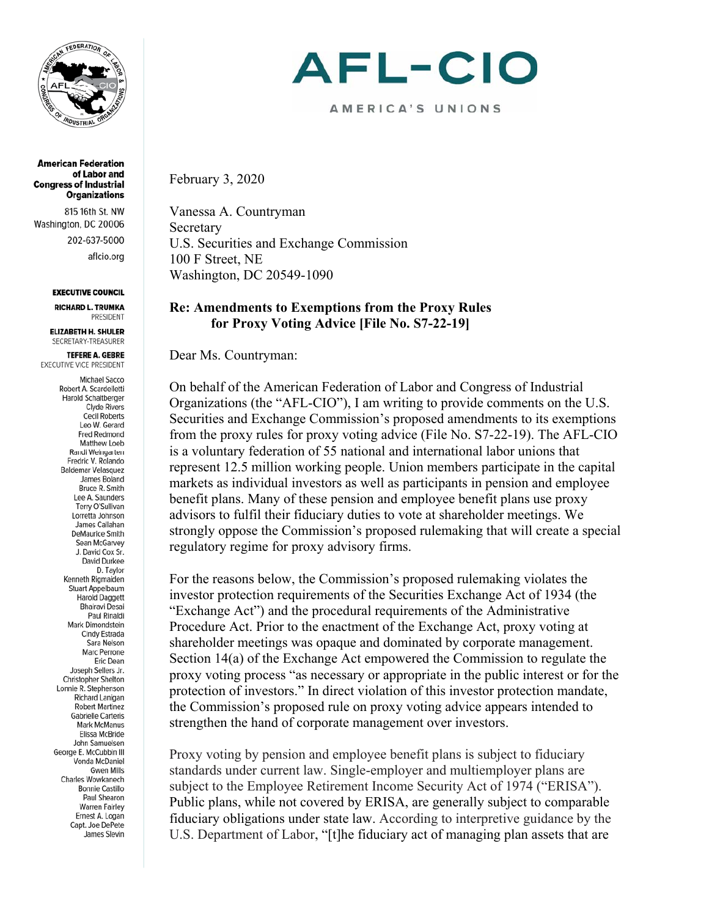

**American Federation** of Labor and **Congress of Industrial Organizations** 

815 16th St. NW Washington, DC 20006 202-637-5000 aflcio.org

#### **EXECUTIVE COUNCIL**

**RICHARD L. TRUMKA PRESIDENT** 

**ELIZABETH H. SHULER** SECRETARY-TREASURER

**TEFERE A. GEBRE** EXECUTIVE VICE PRESIDENT

> **Michael Sacco** Robert A. Scardelletti Harold Schaitberger **Clyde Rivers Cecil Roberts** Leo W. Gerard Fred Redmond Matthew Loeb Randi Weingarten Fredric V. Rolando **Baldemar Velasquez** James Boland Bruce R. Smith Lee A. Saunders Terry O'Sullivan Lorretta Johnson James Callahan **DeMaurice Smith** Sean McGarvev J. David Cox Sr. David Durkee D. Taylor Kenneth Rigmaiden Stuart Appelbaum Harold Daggett **Bhairavi Desai** Paul Rinaldi Mark Dimondstein Cindy Estrada Sara Nelson Marc Perrone Eric Dean Joseph Sellers Jr. **Christopher Shelton** Lonnie R. Stephenson Richard Lanigan Robert Martinez **Gabrielle Carteris** Mark McManus Elissa McBride John Samuelsen George E. McCubbin III Vonda McDaniel **Gwen Mills** Charles Wowkanech **Bonnie Castillo** Paul Shearon **Warren Fairley** Ernest A. Logan Capt. Joe DePete James Slevin

# AFL-CIO

AMERICA'S UNIONS

February 3, 2020

Vanessa A. Countryman Secretary U.S. Securities and Exchange Commission 100 F Street, NE Washington, DC 20549-1090

### **Re: Amendments to Exemptions from the Proxy Rules for Proxy Voting Advice [File No. S7-22-19]**

Dear Ms. Countryman:

On behalf of the American Federation of Labor and Congress of Industrial Organizations (the "AFL-CIO"), I am writing to provide comments on the U.S. Securities and Exchange Commission's proposed amendments to its exemptions from the proxy rules for proxy voting advice (File No. S7-22-19). The AFL-CIO is a voluntary federation of 55 national and international labor unions that represent 12.5 million working people. Union members participate in the capital markets as individual investors as well as participants in pension and employee benefit plans. Many of these pension and employee benefit plans use proxy advisors to fulfil their fiduciary duties to vote at shareholder meetings. We strongly oppose the Commission's proposed rulemaking that will create a special regulatory regime for proxy advisory firms.

For the reasons below, the Commission's proposed rulemaking violates the investor protection requirements of the Securities Exchange Act of 1934 (the "Exchange Act") and the procedural requirements of the Administrative Procedure Act. Prior to the enactment of the Exchange Act, proxy voting at shareholder meetings was opaque and dominated by corporate management. Section 14(a) of the Exchange Act empowered the Commission to regulate the proxy voting process "as necessary or appropriate in the public interest or for the protection of investors." In direct violation of this investor protection mandate, the Commission's proposed rule on proxy voting advice appears intended to strengthen the hand of corporate management over investors.

Proxy voting by pension and employee benefit plans is subject to fiduciary standards under current law. Single-employer and multiemployer plans are subject to the Employee Retirement Income Security Act of 1974 ("ERISA"). Public plans, while not covered by ERISA, are generally subject to comparable fiduciary obligations under state law. According to interpretive guidance by the U.S. Department of Labor, "[t]he fiduciary act of managing plan assets that are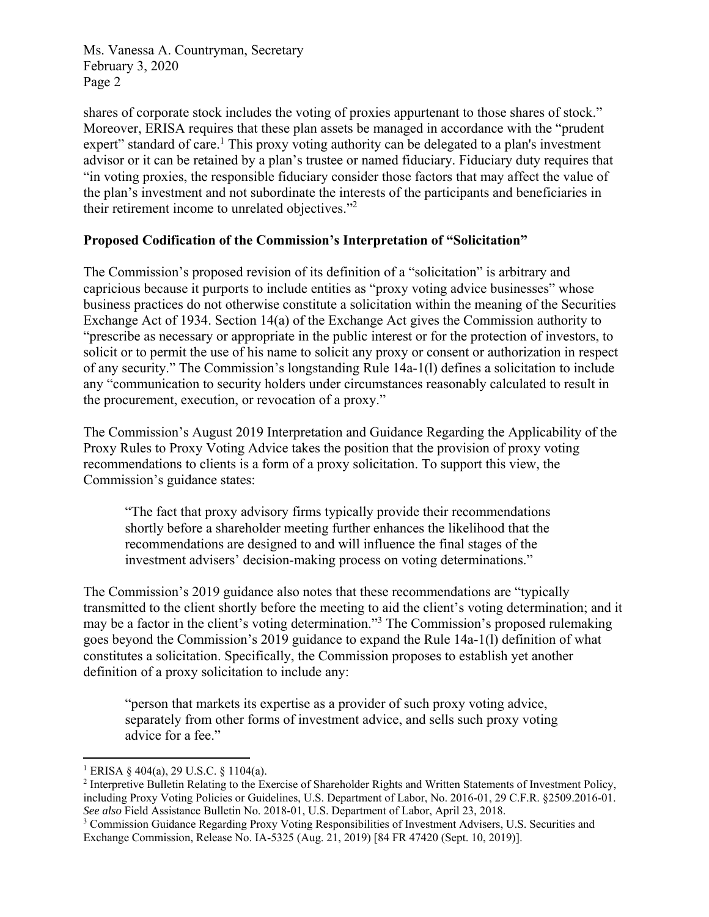shares of corporate stock includes the voting of proxies appurtenant to those shares of stock." Moreover, ERISA requires that these plan assets be managed in accordance with the "prudent expert" standard of care.<sup>1</sup> This proxy voting authority can be delegated to a plan's investment advisor or it can be retained by a plan's trustee or named fiduciary. Fiduciary duty requires that "in voting proxies, the responsible fiduciary consider those factors that may affect the value of the plan's investment and not subordinate the interests of the participants and beneficiaries in their retirement income to unrelated objectives."<sup>2</sup>

### **Proposed Codification of the Commission's Interpretation of "Solicitation"**

The Commission's proposed revision of its definition of a "solicitation" is arbitrary and capricious because it purports to include entities as "proxy voting advice businesses" whose business practices do not otherwise constitute a solicitation within the meaning of the Securities Exchange Act of 1934. Section 14(a) of the Exchange Act gives the Commission authority to "prescribe as necessary or appropriate in the public interest or for the protection of investors, to solicit or to permit the use of his name to solicit any proxy or consent or authorization in respect of any security." The Commission's longstanding Rule 14a-1(l) defines a solicitation to include any "communication to security holders under circumstances reasonably calculated to result in the procurement, execution, or revocation of a proxy."

The Commission's August 2019 Interpretation and Guidance Regarding the Applicability of the Proxy Rules to Proxy Voting Advice takes the position that the provision of proxy voting recommendations to clients is a form of a proxy solicitation. To support this view, the Commission's guidance states:

"The fact that proxy advisory firms typically provide their recommendations shortly before a shareholder meeting further enhances the likelihood that the recommendations are designed to and will influence the final stages of the investment advisers' decision-making process on voting determinations."

The Commission's 2019 guidance also notes that these recommendations are "typically transmitted to the client shortly before the meeting to aid the client's voting determination; and it may be a factor in the client's voting determination."<sup>3</sup> The Commission's proposed rulemaking goes beyond the Commission's 2019 guidance to expand the Rule 14a-1(l) definition of what constitutes a solicitation. Specifically, the Commission proposes to establish yet another definition of a proxy solicitation to include any:

"person that markets its expertise as a provider of such proxy voting advice, separately from other forms of investment advice, and sells such proxy voting advice for a fee."

 1 ERISA § 404(a), 29 U.S.C. § 1104(a).

<sup>&</sup>lt;sup>2</sup> Interpretive Bulletin Relating to the Exercise of Shareholder Rights and Written Statements of Investment Policy, including Proxy Voting Policies or Guidelines, U.S. Department of Labor, No. 2016-01, 29 C.F.R. §2509.2016-01. *See also* Field Assistance Bulletin No. 2018-01, U.S. Department of Labor, April 23, 2018.

<sup>&</sup>lt;sup>3</sup> Commission Guidance Regarding Proxy Voting Responsibilities of Investment Advisers, U.S. Securities and Exchange Commission, Release No. IA-5325 (Aug. 21, 2019) [84 FR 47420 (Sept. 10, 2019)].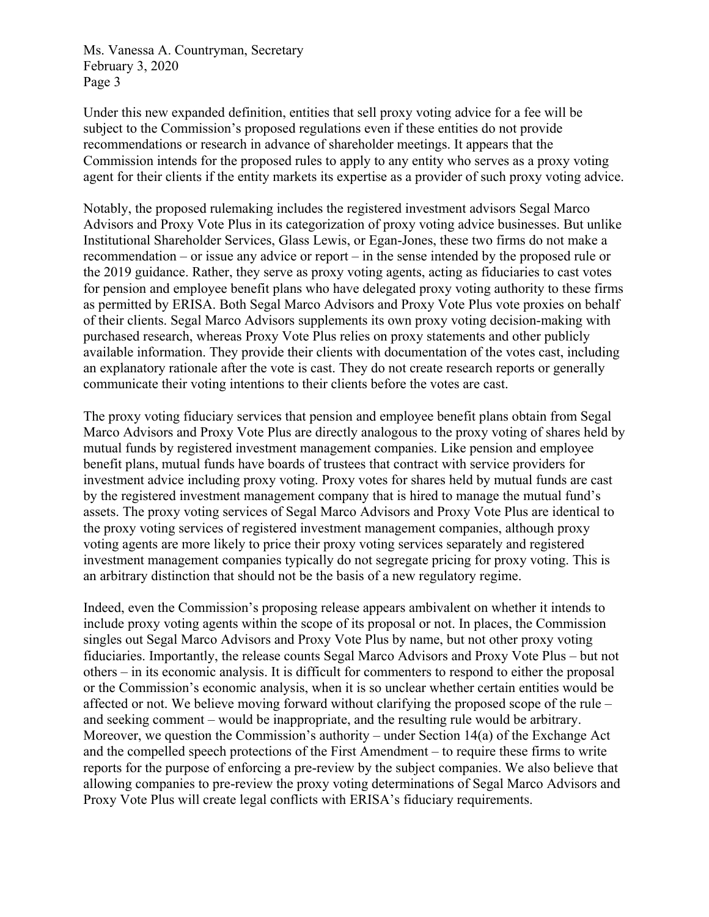Under this new expanded definition, entities that sell proxy voting advice for a fee will be subject to the Commission's proposed regulations even if these entities do not provide recommendations or research in advance of shareholder meetings. It appears that the Commission intends for the proposed rules to apply to any entity who serves as a proxy voting agent for their clients if the entity markets its expertise as a provider of such proxy voting advice.

Notably, the proposed rulemaking includes the registered investment advisors Segal Marco Advisors and Proxy Vote Plus in its categorization of proxy voting advice businesses. But unlike Institutional Shareholder Services, Glass Lewis, or Egan-Jones, these two firms do not make a recommendation – or issue any advice or report – in the sense intended by the proposed rule or the 2019 guidance. Rather, they serve as proxy voting agents, acting as fiduciaries to cast votes for pension and employee benefit plans who have delegated proxy voting authority to these firms as permitted by ERISA. Both Segal Marco Advisors and Proxy Vote Plus vote proxies on behalf of their clients. Segal Marco Advisors supplements its own proxy voting decision-making with purchased research, whereas Proxy Vote Plus relies on proxy statements and other publicly available information. They provide their clients with documentation of the votes cast, including an explanatory rationale after the vote is cast. They do not create research reports or generally communicate their voting intentions to their clients before the votes are cast.

The proxy voting fiduciary services that pension and employee benefit plans obtain from Segal Marco Advisors and Proxy Vote Plus are directly analogous to the proxy voting of shares held by mutual funds by registered investment management companies. Like pension and employee benefit plans, mutual funds have boards of trustees that contract with service providers for investment advice including proxy voting. Proxy votes for shares held by mutual funds are cast by the registered investment management company that is hired to manage the mutual fund's assets. The proxy voting services of Segal Marco Advisors and Proxy Vote Plus are identical to the proxy voting services of registered investment management companies, although proxy voting agents are more likely to price their proxy voting services separately and registered investment management companies typically do not segregate pricing for proxy voting. This is an arbitrary distinction that should not be the basis of a new regulatory regime.

Indeed, even the Commission's proposing release appears ambivalent on whether it intends to include proxy voting agents within the scope of its proposal or not. In places, the Commission singles out Segal Marco Advisors and Proxy Vote Plus by name, but not other proxy voting fiduciaries. Importantly, the release counts Segal Marco Advisors and Proxy Vote Plus – but not others – in its economic analysis. It is difficult for commenters to respond to either the proposal or the Commission's economic analysis, when it is so unclear whether certain entities would be affected or not. We believe moving forward without clarifying the proposed scope of the rule – and seeking comment – would be inappropriate, and the resulting rule would be arbitrary. Moreover, we question the Commission's authority – under Section 14(a) of the Exchange Act and the compelled speech protections of the First Amendment – to require these firms to write reports for the purpose of enforcing a pre-review by the subject companies. We also believe that allowing companies to pre-review the proxy voting determinations of Segal Marco Advisors and Proxy Vote Plus will create legal conflicts with ERISA's fiduciary requirements.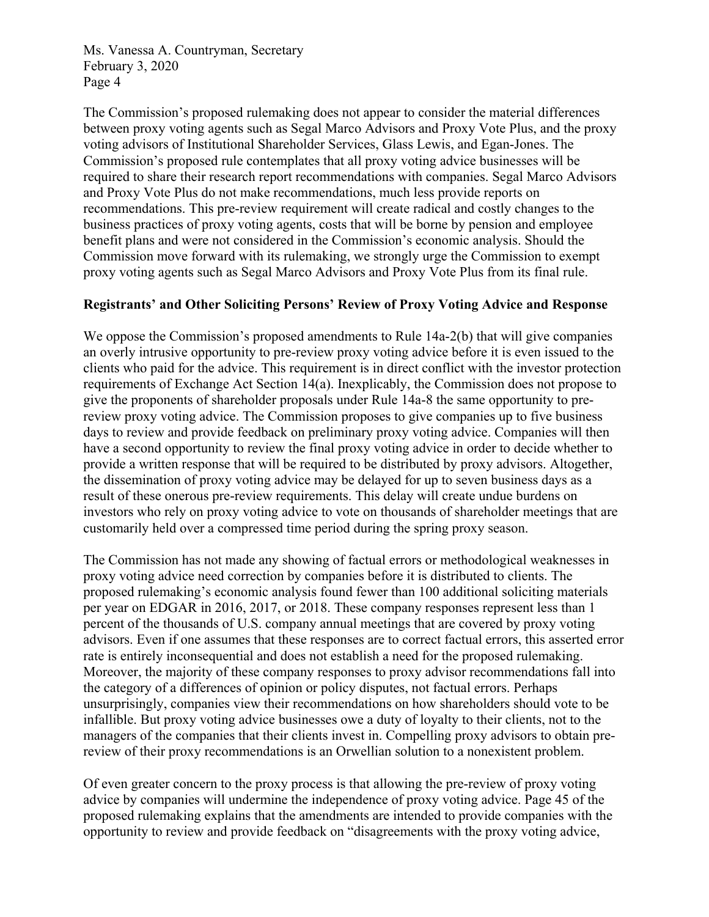The Commission's proposed rulemaking does not appear to consider the material differences between proxy voting agents such as Segal Marco Advisors and Proxy Vote Plus, and the proxy voting advisors of Institutional Shareholder Services, Glass Lewis, and Egan-Jones. The Commission's proposed rule contemplates that all proxy voting advice businesses will be required to share their research report recommendations with companies. Segal Marco Advisors and Proxy Vote Plus do not make recommendations, much less provide reports on recommendations. This pre-review requirement will create radical and costly changes to the business practices of proxy voting agents, costs that will be borne by pension and employee benefit plans and were not considered in the Commission's economic analysis. Should the Commission move forward with its rulemaking, we strongly urge the Commission to exempt proxy voting agents such as Segal Marco Advisors and Proxy Vote Plus from its final rule.

### **Registrants' and Other Soliciting Persons' Review of Proxy Voting Advice and Response**

We oppose the Commission's proposed amendments to Rule 14a-2(b) that will give companies an overly intrusive opportunity to pre-review proxy voting advice before it is even issued to the clients who paid for the advice. This requirement is in direct conflict with the investor protection requirements of Exchange Act Section 14(a). Inexplicably, the Commission does not propose to give the proponents of shareholder proposals under Rule 14a-8 the same opportunity to prereview proxy voting advice. The Commission proposes to give companies up to five business days to review and provide feedback on preliminary proxy voting advice. Companies will then have a second opportunity to review the final proxy voting advice in order to decide whether to provide a written response that will be required to be distributed by proxy advisors. Altogether, the dissemination of proxy voting advice may be delayed for up to seven business days as a result of these onerous pre-review requirements. This delay will create undue burdens on investors who rely on proxy voting advice to vote on thousands of shareholder meetings that are customarily held over a compressed time period during the spring proxy season.

The Commission has not made any showing of factual errors or methodological weaknesses in proxy voting advice need correction by companies before it is distributed to clients. The proposed rulemaking's economic analysis found fewer than 100 additional soliciting materials per year on EDGAR in 2016, 2017, or 2018. These company responses represent less than 1 percent of the thousands of U.S. company annual meetings that are covered by proxy voting advisors. Even if one assumes that these responses are to correct factual errors, this asserted error rate is entirely inconsequential and does not establish a need for the proposed rulemaking. Moreover, the majority of these company responses to proxy advisor recommendations fall into the category of a differences of opinion or policy disputes, not factual errors. Perhaps unsurprisingly, companies view their recommendations on how shareholders should vote to be infallible. But proxy voting advice businesses owe a duty of loyalty to their clients, not to the managers of the companies that their clients invest in. Compelling proxy advisors to obtain prereview of their proxy recommendations is an Orwellian solution to a nonexistent problem.

Of even greater concern to the proxy process is that allowing the pre-review of proxy voting advice by companies will undermine the independence of proxy voting advice. Page 45 of the proposed rulemaking explains that the amendments are intended to provide companies with the opportunity to review and provide feedback on "disagreements with the proxy voting advice,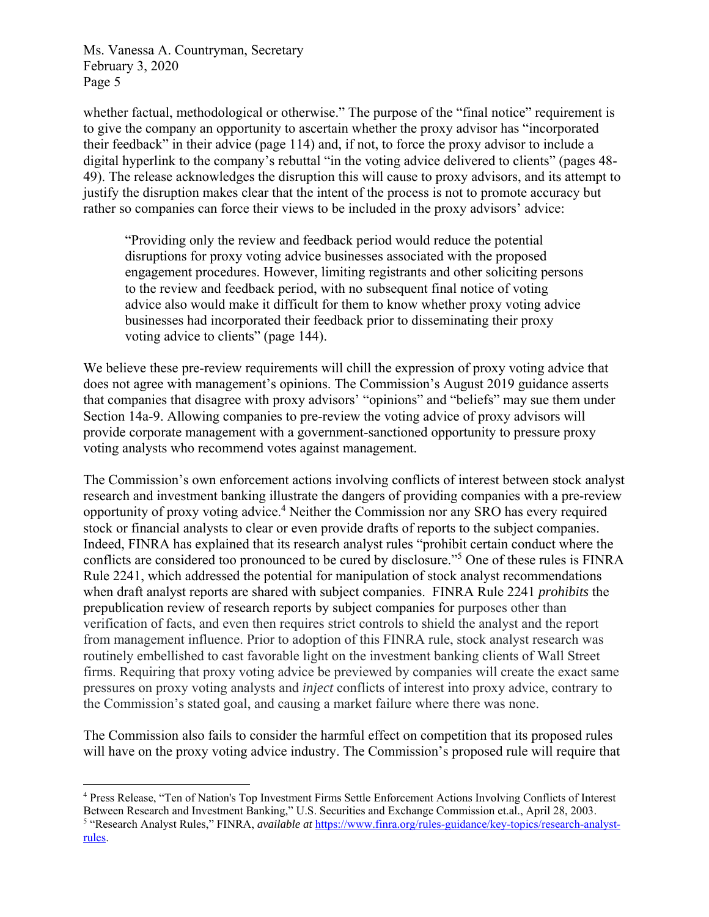whether factual, methodological or otherwise." The purpose of the "final notice" requirement is to give the company an opportunity to ascertain whether the proxy advisor has "incorporated their feedback" in their advice (page 114) and, if not, to force the proxy advisor to include a digital hyperlink to the company's rebuttal "in the voting advice delivered to clients" (pages 48- 49). The release acknowledges the disruption this will cause to proxy advisors, and its attempt to justify the disruption makes clear that the intent of the process is not to promote accuracy but rather so companies can force their views to be included in the proxy advisors' advice:

"Providing only the review and feedback period would reduce the potential disruptions for proxy voting advice businesses associated with the proposed engagement procedures. However, limiting registrants and other soliciting persons to the review and feedback period, with no subsequent final notice of voting advice also would make it difficult for them to know whether proxy voting advice businesses had incorporated their feedback prior to disseminating their proxy voting advice to clients" (page 144).

We believe these pre-review requirements will chill the expression of proxy voting advice that does not agree with management's opinions. The Commission's August 2019 guidance asserts that companies that disagree with proxy advisors' "opinions" and "beliefs" may sue them under Section 14a-9. Allowing companies to pre-review the voting advice of proxy advisors will provide corporate management with a government-sanctioned opportunity to pressure proxy voting analysts who recommend votes against management.

The Commission's own enforcement actions involving conflicts of interest between stock analyst research and investment banking illustrate the dangers of providing companies with a pre-review opportunity of proxy voting advice.<sup>4</sup> Neither the Commission nor any SRO has every required stock or financial analysts to clear or even provide drafts of reports to the subject companies. Indeed, FINRA has explained that its research analyst rules "prohibit certain conduct where the conflicts are considered too pronounced to be cured by disclosure."5 One of these rules is FINRA Rule 2241, which addressed the potential for manipulation of stock analyst recommendations when draft analyst reports are shared with subject companies. FINRA Rule 2241 *prohibits* the prepublication review of research reports by subject companies for purposes other than verification of facts, and even then requires strict controls to shield the analyst and the report from management influence. Prior to adoption of this FINRA rule, stock analyst research was routinely embellished to cast favorable light on the investment banking clients of Wall Street firms. Requiring that proxy voting advice be previewed by companies will create the exact same pressures on proxy voting analysts and *inject* conflicts of interest into proxy advice, contrary to the Commission's stated goal, and causing a market failure where there was none.

The Commission also fails to consider the harmful effect on competition that its proposed rules will have on the proxy voting advice industry. The Commission's proposed rule will require that

<sup>&</sup>lt;sup>4</sup> Press Release, "Ten of Nation's Top Investment Firms Settle Enforcement Actions Involving Conflicts of Interest Between Research and Investment Banking," U.S. Securities and Exchange Commission et.al., April 28, 2003. "Research Analyst Rules," FINRA, *available at* https://www.finra.org/rules-guidance/key-topics/research-analystrules.